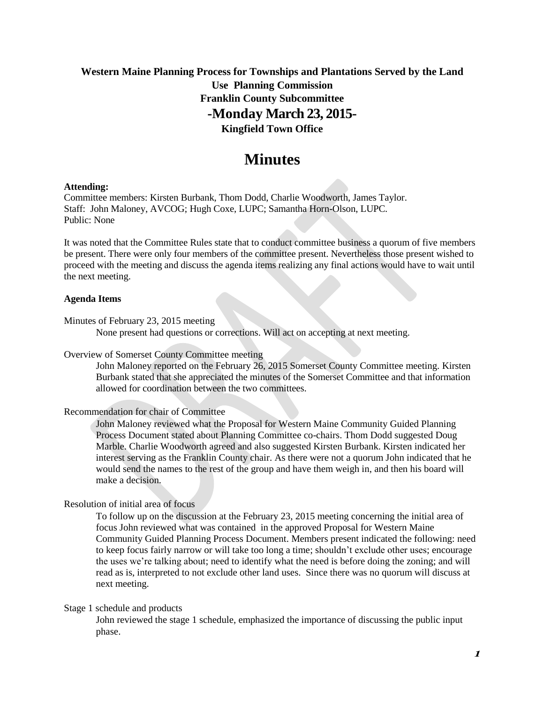## **Western Maine Planning Process for Townships and Plantations Served by the Land Use Planning Commission Franklin County Subcommittee -Monday March 23, 2015-**

## **Kingfield Town Office**

# **Minutes**

### **Attending:**

Committee members: Kirsten Burbank, Thom Dodd, Charlie Woodworth, James Taylor. Staff: John Maloney, AVCOG; Hugh Coxe, LUPC; Samantha Horn-Olson, LUPC. Public: None

It was noted that the Committee Rules state that to conduct committee business a quorum of five members be present. There were only four members of the committee present. Nevertheless those present wished to proceed with the meeting and discuss the agenda items realizing any final actions would have to wait until the next meeting.

### **Agenda Items**

Minutes of February 23, 2015 meeting

None present had questions or corrections. Will act on accepting at next meeting.

### Overview of Somerset County Committee meeting

John Maloney reported on the February 26, 2015 Somerset County Committee meeting. Kirsten Burbank stated that she appreciated the minutes of the Somerset Committee and that information allowed for coordination between the two committees.

Recommendation for chair of Committee

John Maloney reviewed what the Proposal for Western Maine Community Guided Planning Process Document stated about Planning Committee co-chairs. Thom Dodd suggested Doug Marble. Charlie Woodworth agreed and also suggested Kirsten Burbank. Kirsten indicated her interest serving as the Franklin County chair. As there were not a quorum John indicated that he would send the names to the rest of the group and have them weigh in, and then his board will make a decision.

### Resolution of initial area of focus

To follow up on the discussion at the February 23, 2015 meeting concerning the initial area of focus John reviewed what was contained in the approved Proposal for Western Maine Community Guided Planning Process Document. Members present indicated the following: need to keep focus fairly narrow or will take too long a time; shouldn't exclude other uses; encourage the uses we're talking about; need to identify what the need is before doing the zoning; and will read as is, interpreted to not exclude other land uses. Since there was no quorum will discuss at next meeting.

#### Stage 1 schedule and products

John reviewed the stage 1 schedule, emphasized the importance of discussing the public input phase.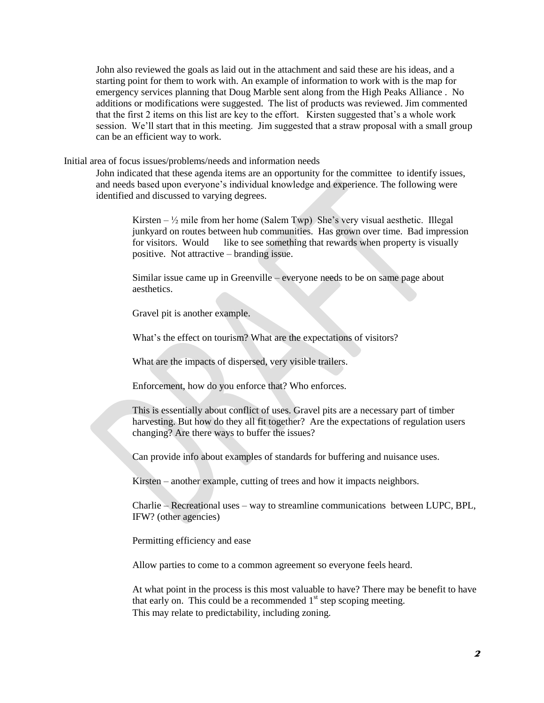John also reviewed the goals as laid out in the attachment and said these are his ideas, and a starting point for them to work with. An example of information to work with is the map for emergency services planning that Doug Marble sent along from the High Peaks Alliance . No additions or modifications were suggested. The list of products was reviewed. Jim commented that the first 2 items on this list are key to the effort. Kirsten suggested that's a whole work session. We'll start that in this meeting. Jim suggested that a straw proposal with a small group can be an efficient way to work.

Initial area of focus issues/problems/needs and information needs

John indicated that these agenda items are an opportunity for the committee to identify issues, and needs based upon everyone's individual knowledge and experience. The following were identified and discussed to varying degrees.

Kirsten –  $\frac{1}{2}$  mile from her home (Salem Twp) She's very visual aesthetic. Illegal junkyard on routes between hub communities. Has grown over time. Bad impression for visitors. Would like to see something that rewards when property is visually positive. Not attractive – branding issue.

Similar issue came up in Greenville – everyone needs to be on same page about aesthetics.

Gravel pit is another example.

What's the effect on tourism? What are the expectations of visitors?

What are the impacts of dispersed, very visible trailers.

Enforcement, how do you enforce that? Who enforces.

This is essentially about conflict of uses. Gravel pits are a necessary part of timber harvesting. But how do they all fit together? Are the expectations of regulation users changing? Are there ways to buffer the issues?

Can provide info about examples of standards for buffering and nuisance uses.

Kirsten – another example, cutting of trees and how it impacts neighbors.

Charlie – Recreational uses – way to streamline communications between LUPC, BPL, IFW? (other agencies)

Permitting efficiency and ease

Allow parties to come to a common agreement so everyone feels heard.

At what point in the process is this most valuable to have? There may be benefit to have that early on. This could be a recommended  $1<sup>st</sup>$  step scoping meeting. This may relate to predictability, including zoning.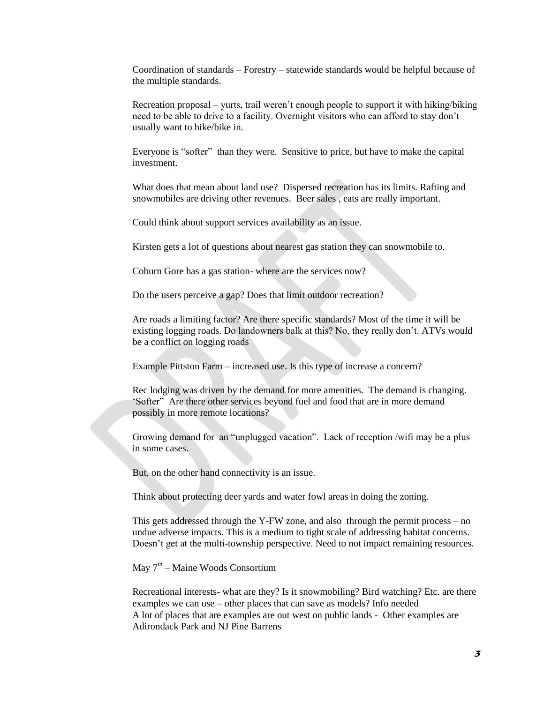Coordination of standards – Forestry – statewide standards would be helpful because of the multiple standards.

Recreation proposal – yurts, trail weren't enough people to support it with hiking/biking need to be able to drive to a facility. Overnight visitors who can afford to stay don't usually want to hike/bike in.

Everyone is "softer" than they were. Sensitive to price, but have to make the capital investment.

What does that mean about land use? Dispersed recreation has its limits. Rafting and snowmobiles are driving other revenues. Beer sales , eats are really important.

Could think about support services availability as an issue.

Kirsten gets a lot of questions about nearest gas station they can snowmobile to.

Coburn Gore has a gas station- where are the services now?

Do the users perceive a gap? Does that limit outdoor recreation?

Are roads a limiting factor? Are there specific standards? Most of the time it will be existing logging roads. Do landowners balk at this? No, they really don't. ATVs would be a conflict on logging roads

Example Pittston Farm – increased use. Is this type of increase a concern?

Rec lodging was driven by the demand for more amenities. The demand is changing. 'Softer" Are there other services beyond fuel and food that are in more demand possibly in more remote locations?

Growing demand for an "unplugged vacation". Lack of reception /wifi may be a plus in some cases.

But, on the other hand connectivity is an issue.

Think about protecting deer yards and water fowl areas in doing the zoning.

This gets addressed through the Y-FW zone, and also through the permit process – no undue adverse impacts. This is a medium to tight scale of addressing habitat concerns. Doesn't get at the multi-township perspective. Need to not impact remaining resources.

May 7<sup>th</sup> – Maine Woods Consortium

Recreational interests- what are they? Is it snowmobiling? Bird watching? Etc. are there examples we can use – other places that can save as models? Info needed A lot of places that are examples are out west on public lands - Other examples are Adirondack Park and NJ Pine Barrens